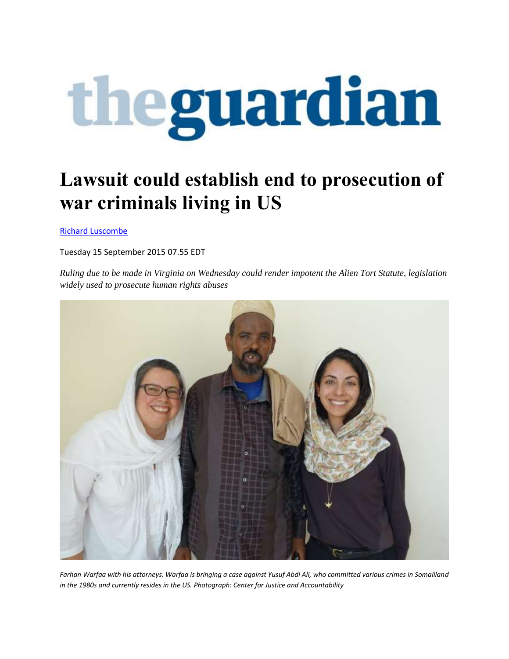

## **Lawsuit could establish end to prosecution of war criminals living in US**

## [Richard Luscombe](http://www.theguardian.com/profile/richardluscombe)

Tuesday 15 September 2015 07.55 EDT

*Ruling due to be made in Virginia on Wednesday could render impotent the Alien Tort Statute, legislation widely used to prosecute human rights abuses*



*Farhan Warfaa with his attorneys. Warfaa is bringing a case against Yusuf Abdi Ali, who committed various crimes in Somaliland in the 1980s and currently resides in the US. Photograph: Center for Justice and Accountability*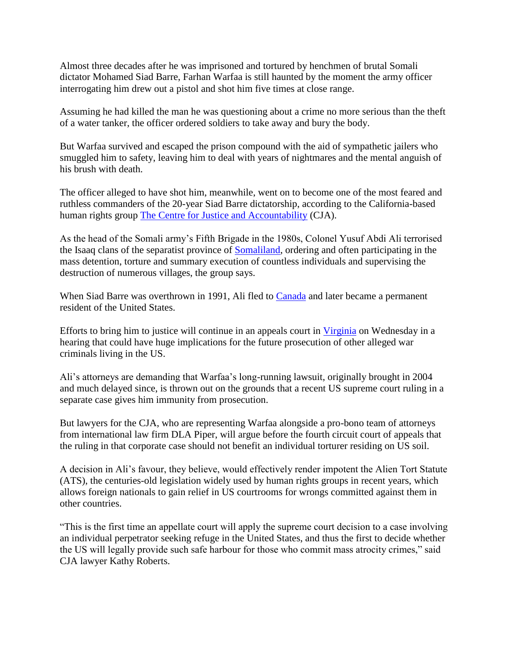Almost three decades after he was imprisoned and tortured by henchmen of brutal Somali dictator Mohamed Siad Barre, Farhan Warfaa is still haunted by the moment the army officer interrogating him drew out a pistol and shot him five times at close range.

Assuming he had killed the man he was questioning about a crime no more serious than the theft of a water tanker, the officer ordered soldiers to take away and bury the body.

But Warfaa survived and escaped the prison compound with the aid of sympathetic jailers who smuggled him to safety, leaving him to deal with years of nightmares and the mental anguish of his brush with death.

The officer alleged to have shot him, meanwhile, went on to become one of the most feared and ruthless commanders of the 20-year Siad Barre dictatorship, according to the California-based human rights group [The Centre for Justice and Accountability](http://www.cja.org/) (CJA).

As the head of the Somali army's Fifth Brigade in the 1980s, Colonel Yusuf Abdi Ali terrorised the Isaaq clans of the separatist province of [Somaliland,](http://www.theguardian.com/world/somaliland) ordering and often participating in the mass detention, torture and summary execution of countless individuals and supervising the destruction of numerous villages, the group says.

When Siad Barre was overthrown in 1991, Ali fled to [Canada](http://www.theguardian.com/world/canada) and later became a permanent resident of the United States.

Efforts to bring him to justice will continue in an appeals court in [Virginia](http://www.theguardian.com/us-news/virginia) on Wednesday in a hearing that could have huge implications for the future prosecution of other alleged war criminals living in the US.

Ali's attorneys are demanding that Warfaa's long-running lawsuit, originally brought in 2004 and much delayed since, is thrown out on the grounds that a recent US supreme court ruling in a separate case gives him immunity from prosecution.

But lawyers for the CJA, who are representing Warfaa alongside a pro-bono team of attorneys from international law firm DLA Piper, will argue before the fourth circuit court of appeals that the ruling in that corporate case should not benefit an individual torturer residing on US soil.

A decision in Ali's favour, they believe, would effectively render impotent the Alien Tort Statute (ATS), the centuries-old legislation widely used by human rights groups in recent years, which allows foreign nationals to gain relief in US courtrooms for wrongs committed against them in other countries.

"This is the first time an appellate court will apply the supreme court decision to a case involving an individual perpetrator seeking refuge in the United States, and thus the first to decide whether the US will legally provide such safe harbour for those who commit mass atrocity crimes," said CJA lawyer Kathy Roberts.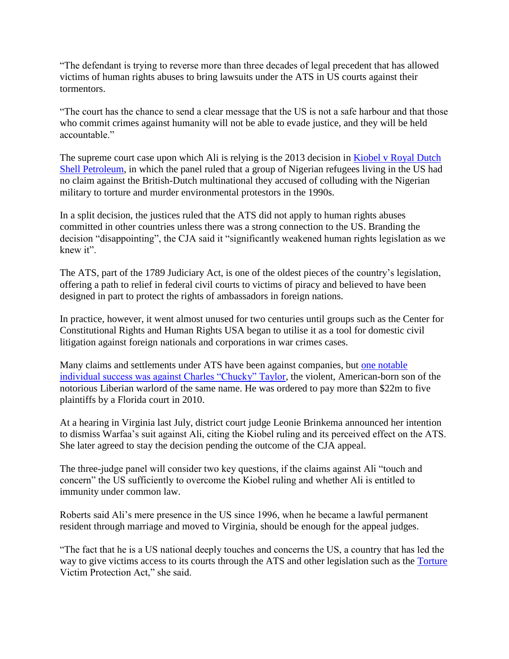"The defendant is trying to reverse more than three decades of legal precedent that has allowed victims of human rights abuses to bring lawsuits under the ATS in US courts against their tormentors.

"The court has the chance to send a clear message that the US is not a safe harbour and that those who commit crimes against humanity will not be able to evade justice, and they will be held accountable."

The supreme court case upon which Ali is relying is the 2013 decision in Kiobel v Royal Dutch [Shell Petroleum,](http://www.supremecourt.gov/opinions/12pdf/10-1491_l6gn.pdf) in which the panel ruled that a group of Nigerian refugees living in the US had no claim against the British-Dutch multinational they accused of colluding with the Nigerian military to torture and murder environmental protestors in the 1990s.

In a split decision, the justices ruled that the ATS did not apply to human rights abuses committed in other countries unless there was a strong connection to the US. Branding the decision "disappointing", the CJA said it "significantly weakened human rights legislation as we knew it".

The ATS, part of the 1789 Judiciary Act, is one of the oldest pieces of the country's legislation, offering a path to relief in federal civil courts to victims of piracy and believed to have been designed in part to protect the rights of ambassadors in foreign nations.

In practice, however, it went almost unused for two centuries until groups such as the Center for Constitutional Rights and Human Rights USA began to utilise it as a tool for domestic civil litigation against foreign nationals and corporations in war crimes cases.

Many claims and settlements under ATS have been against companies, but [one notable](http://www.theguardian.com/world/2009/jan/09/charles-taylor-jr-torture-liberia)  [individual success was against Charles "Chucky" Taylor,](http://www.theguardian.com/world/2009/jan/09/charles-taylor-jr-torture-liberia) the violent, American-born son of the notorious Liberian warlord of the same name. He was ordered to pay more than \$22m to five plaintiffs by a Florida court in 2010.

At a hearing in Virginia last July, district court judge Leonie Brinkema announced her intention to dismiss Warfaa's suit against Ali, citing the Kiobel ruling and its perceived effect on the ATS. She later agreed to stay the decision pending the outcome of the CJA appeal.

The three-judge panel will consider two key questions, if the claims against Ali "touch and concern" the US sufficiently to overcome the Kiobel ruling and whether Ali is entitled to immunity under common law.

Roberts said Ali's mere presence in the US since 1996, when he became a lawful permanent resident through marriage and moved to Virginia, should be enough for the appeal judges.

"The fact that he is a US national deeply touches and concerns the US, a country that has led the way to give victims access to its courts through the ATS and other legislation such as the [Torture](http://www.theguardian.com/law/torture) Victim Protection Act," she said.